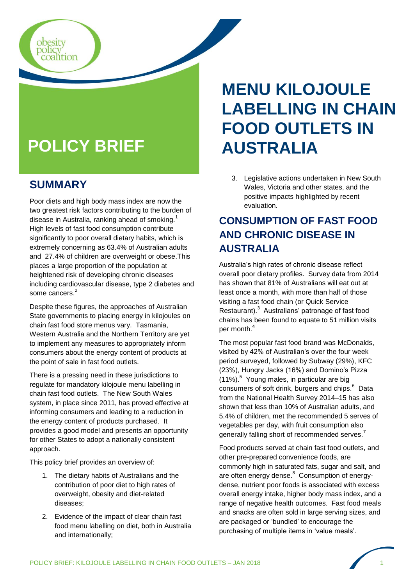# **POLICY BRIEF**

#### **SUMMARY**

obesity<br>policy<br>coalition

Poor diets and high body mass index are now the two greatest risk factors contributing to the burden of disease in Australia, ranking ahead of smoking.<sup>1</sup> High levels of fast food consumption contribute significantly to poor overall dietary habits, which is extremely concerning as 63.4% of Australian adults and 27.4% of children are overweight or obese.This places a large proportion of the population at heightened risk of developing chronic diseases including cardiovascular disease, type 2 diabetes and some cancers.<sup>2</sup>

Despite these figures, the approaches of Australian State governments to placing energy in kilojoules on chain fast food store menus vary. Tasmania, Western Australia and the Northern Territory are yet to implement any measures to appropriately inform consumers about the energy content of products at the point of sale in fast food outlets.

There is a pressing need in these jurisdictions to regulate for mandatory kilojoule menu labelling in chain fast food outlets. The New South Wales system, in place since 2011, has proved effective at informing consumers and leading to a reduction in the energy content of products purchased. It provides a good model and presents an opportunity for other States to adopt a nationally consistent approach.

This policy brief provides an overview of:

- 1. The dietary habits of Australians and the contribution of poor diet to high rates of overweight, obesity and diet-related diseases;
- 2. Evidence of the impact of clear chain fast food menu labelling on diet, both in Australia and internationally;

# **MENU KILOJOULE LABELLING IN CHAIN FOOD OUTLETS IN AUSTRALIA**

3. Legislative actions undertaken in New South Wales, Victoria and other states, and the positive impacts highlighted by recent evaluation.

## **CONSUMPTION OF FAST FOOD AND CHRONIC DISEASE IN AUSTRALIA**

Australia's high rates of chronic disease reflect overall poor dietary profiles. Survey data from 2014 has shown that 81% of Australians will eat out at least once a month, with more than half of those visiting a fast food chain (or Quick Service Restaurant).<sup>3</sup> Australians' patronage of fast food chains has been found to equate to 51 million visits per month. $^4$ 

The most popular fast food brand was McDonalds, visited by 42% of Australian's over the four week period surveyed, followed by Subway (29%), KFC (23%), Hungry Jacks (16%) and Domino's Pizza  $(11%)$ <sup>5</sup> Young males, in particular are big consumers of soft drink, burgers and chips.<sup>6</sup> Data from the National Health Survey 2014–15 has also shown that less than 10% of Australian adults, and 5.4% of children, met the recommended 5 serves of vegetables per day, with fruit consumption also generally falling short of recommended serves.<sup>7</sup>

Food products served at chain fast food outlets, and other pre-prepared convenience foods, are commonly high in saturated fats, sugar and salt, and are often energy dense.<sup>8</sup> Consumption of energydense, nutrient poor foods is associated with excess overall energy intake, higher body mass index, and a range of negative health outcomes. Fast food meals and snacks are often sold in large serving sizes, and are packaged or 'bundled' to encourage the purchasing of multiple items in 'value meals'.

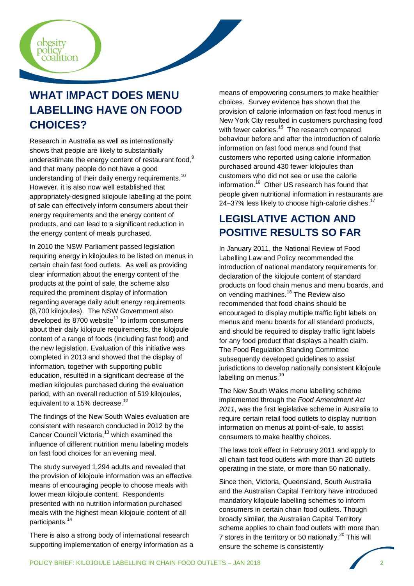

# **WHAT IMPACT DOES MENU LABELLING HAVE ON FOOD CHOICES?**

Research in Australia as well as internationally shows that people are likely to substantially underestimate the energy content of restaurant food,<sup>9</sup> and that many people do not have a good understanding of their daily energy requirements.<sup>10</sup> However, it is also now well established that appropriately-designed kilojoule labelling at the point of sale can effectively inform consumers about their energy requirements and the energy content of products, and can lead to a significant reduction in the energy content of meals purchased.

In 2010 the NSW Parliament passed legislation requiring energy in kilojoules to be listed on menus in certain chain fast food outlets. As well as providing clear information about the energy content of the products at the point of sale, the scheme also required the prominent display of information regarding average daily adult energy requirements (8,700 kilojoules). The NSW Government also developed its 8700 website $11$  to inform consumers about their daily kilojoule requirements, the kilojoule content of a range of foods (including fast food) and the new legislation. Evaluation of this initiative was completed in 2013 and showed that the display of information, together with supporting public education, resulted in a significant decrease of the median kilojoules purchased during the evaluation period, with an overall reduction of 519 kilojoules, equivalent to a 15% decrease.<sup>12</sup>

The findings of the New South Wales evaluation are consistent with research conducted in 2012 by the Cancer Council Victoria,<sup>13</sup> which examined the influence of different nutrition menu labeling models on fast food choices for an evening meal.

The study surveyed 1,294 adults and revealed that the provision of kilojoule information was an effective means of encouraging people to choose meals with lower mean kilojoule content. Respondents presented with no nutrition information purchased meals with the highest mean kilojoule content of all participants.<sup>14</sup>

There is also a strong body of international research supporting implementation of energy information as a

means of empowering consumers to make healthier choices. Survey evidence has shown that the provision of calorie information on fast food menus in New York City resulted in customers purchasing food with fewer calories.<sup>15</sup> The research compared behaviour before and after the introduction of calorie information on fast food menus and found that customers who reported using calorie information purchased around 430 fewer kilojoules than customers who did not see or use the calorie information.<sup>16</sup> Other US research has found that people given nutritional information in restaurants are 24–37% less likely to choose high-calorie dishes.<sup>17</sup>

### **LEGISLATIVE ACTION AND POSITIVE RESULTS SO FAR**

In January 2011, the National Review of Food Labelling Law and Policy recommended the introduction of national mandatory requirements for declaration of the kilojoule content of standard products on food chain menus and menu boards, and on vending machines.<sup>18</sup> The Review also recommended that food chains should be encouraged to display multiple traffic light labels on menus and menu boards for all standard products, and should be required to display traffic light labels for any food product that displays a health claim. The Food Regulation Standing Committee subsequently developed guidelines to assist jurisdictions to develop nationally consistent kilojoule labelling on menus.<sup>19</sup>

The New South Wales menu labelling scheme implemented through the *Food Amendment Act 2011*, was the first legislative scheme in Australia to require certain retail food outlets to display nutrition information on menus at point-of-sale, to assist consumers to make healthy choices.

The laws took effect in February 2011 and apply to all chain fast food outlets with more than 20 outlets operating in the state, or more than 50 nationally.

Since then, Victoria, Queensland, South Australia and the Australian Capital Territory have introduced mandatory kilojoule labelling schemes to inform consumers in certain chain food outlets. Though broadly similar, the Australian Capital Territory scheme applies to chain food outlets with more than 7 stores in the territory or 50 nationally.<sup>20</sup> This will ensure the scheme is consistently

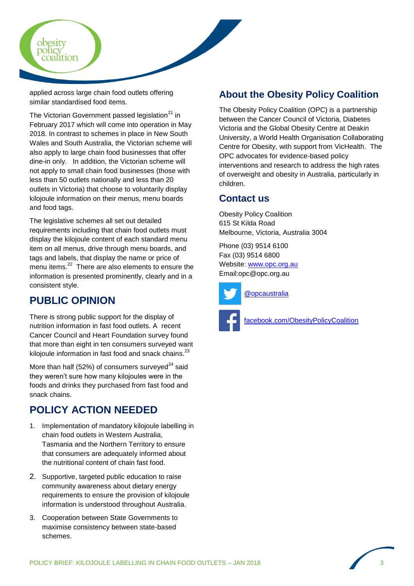

applied across large chain food outlets offering similar standardised food items.

The Victorian Government passed legislation $21$  in February 2017 which will come into operation in May 2018. In contrast to schemes in place in New South Wales and South Australia, the Victorian scheme will also apply to large chain food businesses that offer dine-in only. In addition, the Victorian scheme will not apply to small chain food businesses (those with less than 50 outlets nationally and less than 20 outlets in Victoria) that choose to voluntarily display kilojoule information on their menus, menu boards and food tags.

The legislative schemes all set out detailed requirements including that chain food outlets must display the kilojoule content of each standard menu item on all menus, drive through menu boards, and tags and labels, that display the name or price of menu items.<sup>22</sup> There are also elements to ensure the information is presented prominently, clearly and in a consistent style.

#### **PUBLIC OPINION**

There is strong public support for the display of nutrition information in fast food outlets. A recent Cancer Council and Heart Foundation survey found that more than eight in ten consumers surveyed want kilojoule information in fast food and snack chains.<sup>23</sup>

More than half (52%) of consumers surveyed $^{24}$  said they weren't sure how many kilojoules were in the foods and drinks they purchased from fast food and snack chains.

### **POLICY ACTION NEEDED**

- 1. Implementation of mandatory kilojoule labelling in chain food outlets in Western Australia, Tasmania and the Northern Territory to ensure that consumers are adequately informed about the nutritional content of chain fast food.
- 2. Supportive, targeted public education to raise community awareness about dietary energy requirements to ensure the provision of kilojoule information is understood throughout Australia.
- 3. Cooperation between State Governments to maximise consistency between state-based schemes.

#### **About the Obesity Policy Coalition**

The Obesity Policy Coalition (OPC) is a partnership between the Cancer Council of Victoria, Diabetes Victoria and the Global Obesity Centre at Deakin University, a World Health Organisation Collaborating Centre for Obesity, with support from VicHealth. The OPC advocates for evidence-based policy interventions and research to address the high rates of overweight and obesity in Australia, particularly in children.

#### **Contact us**

Obesity Policy Coalition 615 St Kilda Road Melbourne, Victoria, Australia 3004

Phone (03) 9514 6100 Fax (03) 9514 6800 Website: [www.opc.org.au](http://www.opc.org.au/) Email:opc@opc.org.au





facebook.com/ObesityPolicyCoalition